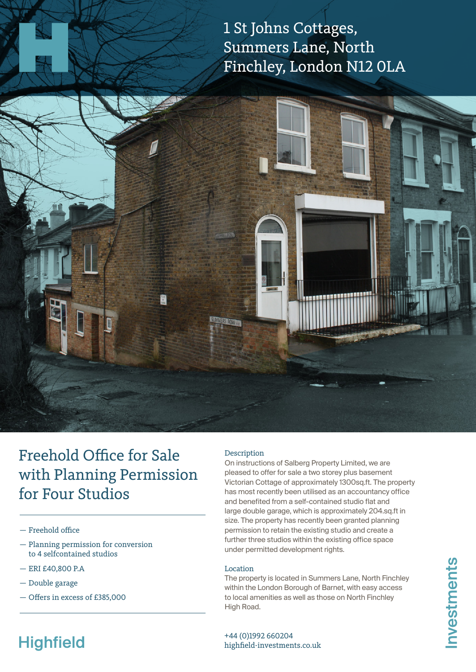1 St Johns Cottages, Summers Lane, North Finchley, London N12 0LA



### Freehold Office for Sale with Planning Permission for Four Studios

- Freehold office
- Planning permission for conversion to 4 selfcontained studios
- ERI £40,800 P.A
- Double garage
- Offers in excess of £385,000

#### Description

On instructions of Salberg Property Limited, we are pleased to offer for sale a two storey plus basement Victorian Cottage of approximately 1300sq.ft. The property has most recently been utilised as an accountancy office and benefited from a self-contained studio flat and large double garage, which is approximately 204.sq.ft in size. The property has recently been granted planning permission to retain the existing studio and create a further three studios within the existing office space under permitted development rights.

#### Location

The property is located in Summers Lane, North Finchley within the London Borough of Barnet, with easy access to local amenities as well as those on North Finchley High Road.

# **Highfield**

+44 (0)1992 660204 highfield-investments.co.uk